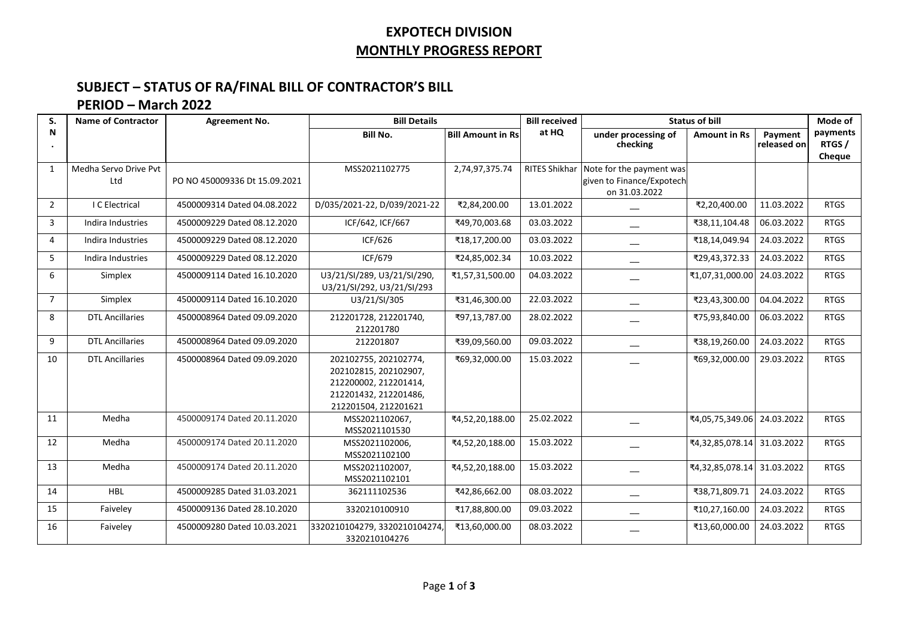## **EXPOTECH DIVISION MONTHLY PROGRESS REPORT**

## **SUBJECT – STATUS OF RA/FINAL BILL OF CONTRACTOR'S BILL**

## **PERIOD – March 2022**

| S.             | <b>Name of Contractor</b>    | <b>Agreement No.</b>          | <b>Bill Details</b>                                                                                                      |                          | <b>Bill received</b> | <b>Status of bill</b>                                                  |                            |                        | Mode of                      |
|----------------|------------------------------|-------------------------------|--------------------------------------------------------------------------------------------------------------------------|--------------------------|----------------------|------------------------------------------------------------------------|----------------------------|------------------------|------------------------------|
| N              |                              |                               | <b>Bill No.</b>                                                                                                          | <b>Bill Amount in Rs</b> | at HQ                | under processing of<br>checking                                        | <b>Amount in Rs</b>        | Payment<br>released on | payments<br>RTGS /<br>Cheque |
| $\mathbf{1}$   | Medha Servo Drive Pvt<br>Ltd | PO NO 450009336 Dt 15.09.2021 | MSS2021102775                                                                                                            | 2,74,97,375.74           | <b>RITES Shikhar</b> | Note for the payment was<br>given to Finance/Expotech<br>on 31.03.2022 |                            |                        |                              |
| $\overline{2}$ | I C Electrical               | 4500009314 Dated 04.08.2022   | D/035/2021-22, D/039/2021-22                                                                                             | ₹2,84,200.00             | 13.01.2022           |                                                                        | ₹2,20,400.00               | 11.03.2022             | <b>RTGS</b>                  |
| $\overline{3}$ | Indira Industries            | 4500009229 Dated 08.12.2020   | ICF/642, ICF/667                                                                                                         | ₹49,70,003.68            | 03.03.2022           | ——                                                                     | ₹38,11,104.48              | 06.03.2022             | <b>RTGS</b>                  |
| $\overline{4}$ | Indira Industries            | 4500009229 Dated 08.12.2020   | ICF/626                                                                                                                  | ₹18,17,200.00            | 03.03.2022           |                                                                        | ₹18,14,049.94              | 24.03.2022             | <b>RTGS</b>                  |
| 5              | Indira Industries            | 4500009229 Dated 08.12.2020   | ICF/679                                                                                                                  | ₹24,85,002.34            | 10.03.2022           | --                                                                     | ₹29,43,372.33              | 24.03.2022             | <b>RTGS</b>                  |
| 6              | Simplex                      | 4500009114 Dated 16.10.2020   | U3/21/SI/289, U3/21/SI/290,<br>U3/21/SI/292, U3/21/SI/293                                                                | ₹1,57,31,500.00          | 04.03.2022           |                                                                        | ₹1,07,31,000.00            | 24.03.2022             | <b>RTGS</b>                  |
| $\overline{7}$ | Simplex                      | 4500009114 Dated 16.10.2020   | U3/21/SI/305                                                                                                             | ₹31,46,300.00            | 22.03.2022           |                                                                        | ₹23,43,300.00              | 04.04.2022             | <b>RTGS</b>                  |
| 8              | <b>DTL Ancillaries</b>       | 4500008964 Dated 09.09.2020   | 212201728, 212201740,<br>212201780                                                                                       | ₹97,13,787.00            | 28.02.2022           |                                                                        | ₹75,93,840.00              | 06.03.2022             | <b>RTGS</b>                  |
| 9              | <b>DTL Ancillaries</b>       | 4500008964 Dated 09.09.2020   | 212201807                                                                                                                | ₹39,09,560.00            | 09.03.2022           |                                                                        | ₹38,19,260.00              | 24.03.2022             | <b>RTGS</b>                  |
| 10             | <b>DTL Ancillaries</b>       | 4500008964 Dated 09.09.2020   | 202102755, 202102774,<br>202102815, 202102907,<br>212200002, 212201414,<br>212201432, 212201486,<br>212201504, 212201621 | ₹69,32,000.00            | 15.03.2022           |                                                                        | ₹69,32,000.00              | 29.03.2022             | <b>RTGS</b>                  |
| 11             | Medha                        | 4500009174 Dated 20.11.2020   | MSS2021102067,<br>MSS2021101530                                                                                          | ₹4,52,20,188.00          | 25.02.2022           |                                                                        | ₹4,05,75,349.06            | 24.03.2022             | <b>RTGS</b>                  |
| 12             | Medha                        | 4500009174 Dated 20.11.2020   | MSS2021102006,<br>MSS2021102100                                                                                          | ₹4,52,20,188.00          | 15.03.2022           |                                                                        | ₹4,32,85,078.14 31.03.2022 |                        | <b>RTGS</b>                  |
| 13             | Medha                        | 4500009174 Dated 20.11.2020   | MSS2021102007,<br>MSS2021102101                                                                                          | ₹4,52,20,188.00          | 15.03.2022           |                                                                        | ₹4,32,85,078.14 31.03.2022 |                        | <b>RTGS</b>                  |
| 14             | <b>HBL</b>                   | 4500009285 Dated 31.03.2021   | 362111102536                                                                                                             | ₹42,86,662.00            | 08.03.2022           |                                                                        | ₹38,71,809.71              | 24.03.2022             | <b>RTGS</b>                  |
| 15             | Faiveley                     | 4500009136 Dated 28.10.2020   | 3320210100910                                                                                                            | ₹17,88,800.00            | 09.03.2022           | --                                                                     | ₹10,27,160.00              | 24.03.2022             | <b>RTGS</b>                  |
| 16             | Faiveley                     | 4500009280 Dated 10.03.2021   | 3320210104279, 3320210104274,<br>3320210104276                                                                           | ₹13,60,000.00            | 08.03.2022           |                                                                        | ₹13,60,000.00              | 24.03.2022             | <b>RTGS</b>                  |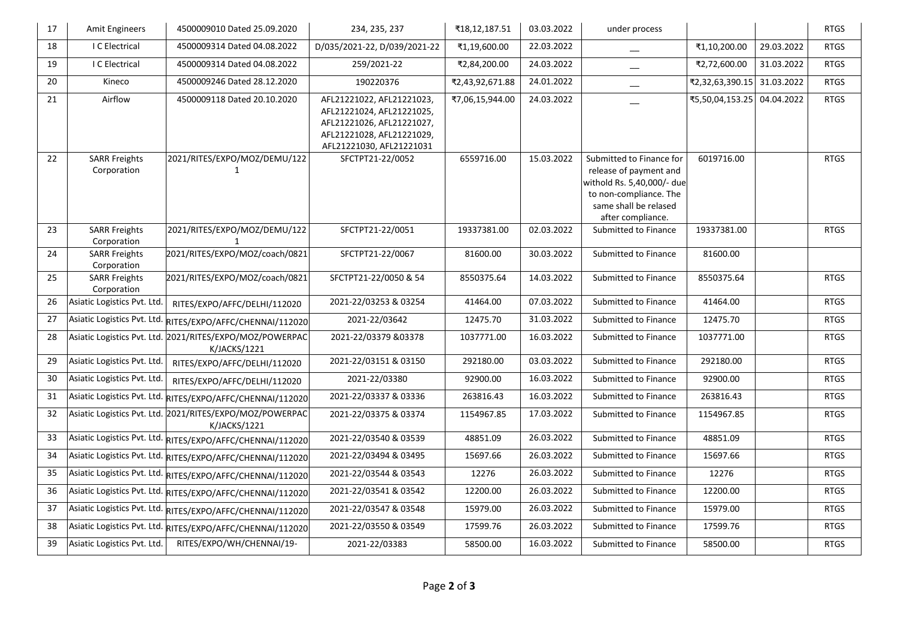| $17\,$ | <b>Amit Engineers</b>               | 4500009010 Dated 25.09.2020                                              | 234, 235, 237                                                                                                                                | ₹18,12,187.51   | 03.03.2022 | under process                                                                                                                                            |                 |            | <b>RTGS</b> |
|--------|-------------------------------------|--------------------------------------------------------------------------|----------------------------------------------------------------------------------------------------------------------------------------------|-----------------|------------|----------------------------------------------------------------------------------------------------------------------------------------------------------|-----------------|------------|-------------|
| 18     | I C Electrical                      | 4500009314 Dated 04.08.2022                                              | D/035/2021-22, D/039/2021-22                                                                                                                 | ₹1,19,600.00    | 22.03.2022 | --                                                                                                                                                       | ₹1,10,200.00    | 29.03.2022 | <b>RTGS</b> |
| 19     | I C Electrical                      | 4500009314 Dated 04.08.2022                                              | 259/2021-22                                                                                                                                  | ₹2,84,200.00    | 24.03.2022 | $\qquad \qquad$                                                                                                                                          | ₹2,72,600.00    | 31.03.2022 | <b>RTGS</b> |
| $20\,$ | Kineco                              | 4500009246 Dated 28.12.2020                                              | 190220376                                                                                                                                    | ₹2,43,92,671.88 | 24.01.2022 | $\qquad \qquad$                                                                                                                                          | ₹2,32,63,390.15 | 31.03.2022 | <b>RTGS</b> |
| 21     | Airflow                             | 4500009118 Dated 20.10.2020                                              | AFL21221022, AFL21221023,<br>AFL21221024, AFL21221025,<br>AFL21221026, AFL21221027,<br>AFL21221028, AFL21221029,<br>AFL21221030, AFL21221031 | ₹7,06,15,944.00 | 24.03.2022 |                                                                                                                                                          | ₹5,50,04,153.25 | 04.04.2022 | <b>RTGS</b> |
| 22     | <b>SARR Freights</b><br>Corporation | 2021/RITES/EXPO/MOZ/DEMU/122<br>$\mathbf{1}$                             | SFCTPT21-22/0052                                                                                                                             | 6559716.00      | 15.03.2022 | Submitted to Finance for<br>release of payment and<br>withold Rs. 5,40,000/- due<br>to non-compliance. The<br>same shall be relased<br>after compliance. | 6019716.00      |            | <b>RTGS</b> |
| 23     | <b>SARR Freights</b><br>Corporation | 2021/RITES/EXPO/MOZ/DEMU/122<br>1                                        | SFCTPT21-22/0051                                                                                                                             | 19337381.00     | 02.03.2022 | Submitted to Finance                                                                                                                                     | 19337381.00     |            | <b>RTGS</b> |
| 24     | <b>SARR Freights</b><br>Corporation | 2021/RITES/EXPO/MOZ/coach/0821                                           | SFCTPT21-22/0067                                                                                                                             | 81600.00        | 30.03.2022 | Submitted to Finance                                                                                                                                     | 81600.00        |            |             |
| 25     | <b>SARR Freights</b><br>Corporation | 2021/RITES/EXPO/MOZ/coach/0821                                           | SFCTPT21-22/0050 & 54                                                                                                                        | 8550375.64      | 14.03.2022 | Submitted to Finance                                                                                                                                     | 8550375.64      |            | <b>RTGS</b> |
| 26     | Asiatic Logistics Pvt. Ltd.         | RITES/EXPO/AFFC/DELHI/112020                                             | 2021-22/03253 & 03254                                                                                                                        | 41464.00        | 07.03.2022 | Submitted to Finance                                                                                                                                     | 41464.00        |            | <b>RTGS</b> |
| 27     | Asiatic Logistics Pvt. Ltd.         | RITES/EXPO/AFFC/CHENNAI/112020                                           | 2021-22/03642                                                                                                                                | 12475.70        | 31.03.2022 | Submitted to Finance                                                                                                                                     | 12475.70        |            | <b>RTGS</b> |
| 28     |                                     | Asiatic Logistics Pvt. Ltd. 2021/RITES/EXPO/MOZ/POWERPAC<br>K/JACKS/1221 | 2021-22/03379 &03378                                                                                                                         | 1037771.00      | 16.03.2022 | Submitted to Finance                                                                                                                                     | 1037771.00      |            | <b>RTGS</b> |
| 29     | Asiatic Logistics Pvt. Ltd.         | RITES/EXPO/AFFC/DELHI/112020                                             | 2021-22/03151 & 03150                                                                                                                        | 292180.00       | 03.03.2022 | Submitted to Finance                                                                                                                                     | 292180.00       |            | <b>RTGS</b> |
| 30     | Asiatic Logistics Pvt. Ltd.         | RITES/EXPO/AFFC/DELHI/112020                                             | 2021-22/03380                                                                                                                                | 92900.00        | 16.03.2022 | Submitted to Finance                                                                                                                                     | 92900.00        |            | <b>RTGS</b> |
| 31     |                                     | Asiatic Logistics Pvt. Ltd. RITES/EXPO/AFFC/CHENNAI/112020               | 2021-22/03337 & 03336                                                                                                                        | 263816.43       | 16.03.2022 | Submitted to Finance                                                                                                                                     | 263816.43       |            | <b>RTGS</b> |
| 32     |                                     | Asiatic Logistics Pvt. Ltd. 2021/RITES/EXPO/MOZ/POWERPAC<br>K/JACKS/1221 | 2021-22/03375 & 03374                                                                                                                        | 1154967.85      | 17.03.2022 | Submitted to Finance                                                                                                                                     | 1154967.85      |            | <b>RTGS</b> |
| 33     |                                     | Asiatic Logistics Pvt. Ltd. RITES/EXPO/AFFC/CHENNAI/112020               | 2021-22/03540 & 03539                                                                                                                        | 48851.09        | 26.03.2022 | Submitted to Finance                                                                                                                                     | 48851.09        |            | <b>RTGS</b> |
| 34     | Asiatic Logistics Pvt. Ltd.         | RITES/EXPO/AFFC/CHENNAI/112020                                           | 2021-22/03494 & 03495                                                                                                                        | 15697.66        | 26.03.2022 | Submitted to Finance                                                                                                                                     | 15697.66        |            | <b>RTGS</b> |
| 35     |                                     | Asiatic Logistics Pvt. Ltd. RITES/EXPO/AFFC/CHENNAI/112020               | 2021-22/03544 & 03543                                                                                                                        | 12276           | 26.03.2022 | Submitted to Finance                                                                                                                                     | 12276           |            | <b>RTGS</b> |
| 36     | Asiatic Logistics Pvt. Ltd.         | RITES/EXPO/AFFC/CHENNAI/112020                                           | 2021-22/03541 & 03542                                                                                                                        | 12200.00        | 26.03.2022 | Submitted to Finance                                                                                                                                     | 12200.00        |            | <b>RTGS</b> |
| 37     | Asiatic Logistics Pvt. Ltd.         | RITES/EXPO/AFFC/CHENNAI/112020                                           | 2021-22/03547 & 03548                                                                                                                        | 15979.00        | 26.03.2022 | Submitted to Finance                                                                                                                                     | 15979.00        |            | <b>RTGS</b> |
| 38     |                                     | Asiatic Logistics Pvt. Ltd. RITES/EXPO/AFFC/CHENNAI/112020               | 2021-22/03550 & 03549                                                                                                                        | 17599.76        | 26.03.2022 | Submitted to Finance                                                                                                                                     | 17599.76        |            | <b>RTGS</b> |
| 39     | Asiatic Logistics Pvt. Ltd.         | RITES/EXPO/WH/CHENNAI/19-                                                | 2021-22/03383                                                                                                                                | 58500.00        | 16.03.2022 | Submitted to Finance                                                                                                                                     | 58500.00        |            | <b>RTGS</b> |